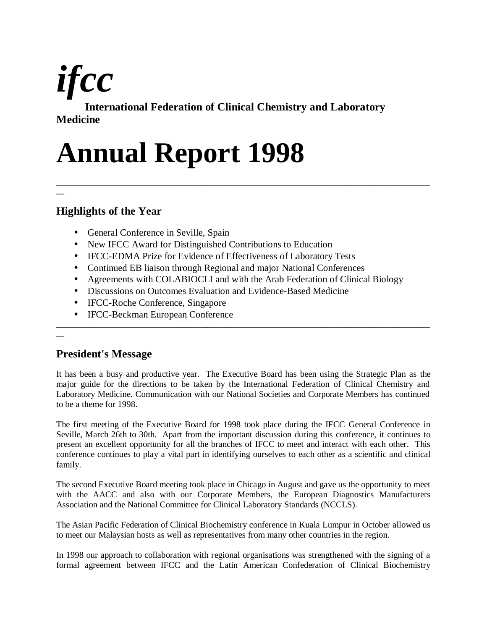

**International Federation of Clinical Chemistry and Laboratory Medicine**

# **Annual Report 1998**

# **Highlights of the Year**

- General Conference in Seville, Spain
- New IFCC Award for Distinguished Contributions to Education
- IFCC-EDMA Prize for Evidence of Effectiveness of Laboratory Tests
- Continued EB liaison through Regional and major National Conferences
- Agreements with COLABIOCLI and with the Arab Federation of Clinical Biology

**\_\_\_\_\_\_\_\_\_\_\_\_\_\_\_\_\_\_\_\_\_\_\_\_\_\_\_\_\_\_\_\_\_\_\_\_\_\_\_\_\_\_\_\_\_\_\_\_\_\_\_\_\_\_\_\_\_\_\_\_\_\_\_\_\_\_\_\_\_\_\_\_\_\_\_\_\_\_\_\_\_\_\_\_\_\_\_\_\_\_\_\_\_\_**

- Discussions on Outcomes Evaluation and Evidence-Based Medicine
- IFCC-Roche Conference, Singapore
- IFCC-Beckman European Conference

# **\_\_**

**\_\_**

# **President's Message**

It has been a busy and productive year. The Executive Board has been using the Strategic Plan as the major guide for the directions to be taken by the International Federation of Clinical Chemistry and Laboratory Medicine. Communication with our National Societies and Corporate Members has continued to be a theme for 1998.

**\_\_\_\_\_\_\_\_\_\_\_\_\_\_\_\_\_\_\_\_\_\_\_\_\_\_\_\_\_\_\_\_\_\_\_\_\_\_\_\_\_\_\_\_\_\_\_\_\_\_\_\_\_\_\_\_\_\_\_\_\_\_\_\_\_\_\_\_\_\_\_\_\_\_\_\_\_\_\_\_\_\_\_\_\_\_\_\_\_\_\_\_\_\_**

The first meeting of the Executive Board for 1998 took place during the IFCC General Conference in Seville, March 26th to 30th. Apart from the important discussion during this conference, it continues to present an excellent opportunity for all the branches of IFCC to meet and interact with each other. This conference continues to play a vital part in identifying ourselves to each other as a scientific and clinical family.

The second Executive Board meeting took place in Chicago in August and gave us the opportunity to meet with the AACC and also with our Corporate Members, the European Diagnostics Manufacturers Association and the National Committee for Clinical Laboratory Standards (NCCLS).

The Asian Pacific Federation of Clinical Biochemistry conference in Kuala Lumpur in October allowed us to meet our Malaysian hosts as well as representatives from many other countries in the region.

In 1998 our approach to collaboration with regional organisations was strengthened with the signing of a formal agreement between IFCC and the Latin American Confederation of Clinical Biochemistry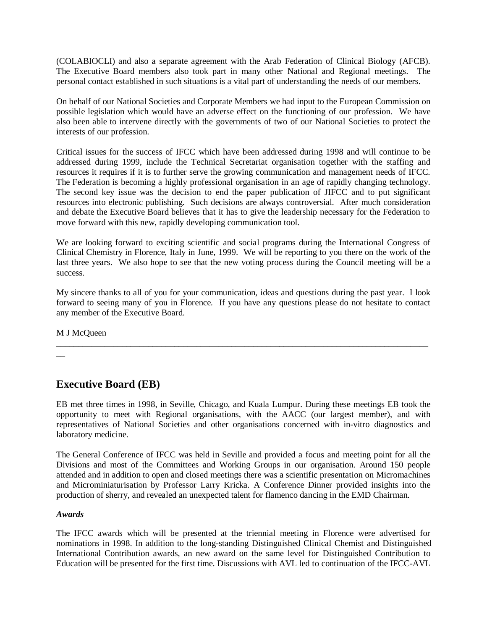(COLABIOCLI) and also a separate agreement with the Arab Federation of Clinical Biology (AFCB). The Executive Board members also took part in many other National and Regional meetings. The personal contact established in such situations is a vital part of understanding the needs of our members.

On behalf of our National Societies and Corporate Members we had input to the European Commission on possible legislation which would have an adverse effect on the functioning of our profession. We have also been able to intervene directly with the governments of two of our National Societies to protect the interests of our profession.

Critical issues for the success of IFCC which have been addressed during 1998 and will continue to be addressed during 1999, include the Technical Secretariat organisation together with the staffing and resources it requires if it is to further serve the growing communication and management needs of IFCC. The Federation is becoming a highly professional organisation in an age of rapidly changing technology. The second key issue was the decision to end the paper publication of JIFCC and to put significant resources into electronic publishing. Such decisions are always controversial. After much consideration and debate the Executive Board believes that it has to give the leadership necessary for the Federation to move forward with this new, rapidly developing communication tool.

We are looking forward to exciting scientific and social programs during the International Congress of Clinical Chemistry in Florence, Italy in June, 1999. We will be reporting to you there on the work of the last three years. We also hope to see that the new voting process during the Council meeting will be a success.

My sincere thanks to all of you for your communication, ideas and questions during the past year. I look forward to seeing many of you in Florence. If you have any questions please do not hesitate to contact any member of the Executive Board.

\_\_\_\_\_\_\_\_\_\_\_\_\_\_\_\_\_\_\_\_\_\_\_\_\_\_\_\_\_\_\_\_\_\_\_\_\_\_\_\_\_\_\_\_\_\_\_\_\_\_\_\_\_\_\_\_\_\_\_\_\_\_\_\_\_\_\_\_\_\_\_\_\_\_\_\_\_\_\_\_\_\_\_\_\_

M J McQueen

 $\overline{\phantom{a}}$ 

# **Executive Board (EB)**

EB met three times in 1998, in Seville, Chicago, and Kuala Lumpur. During these meetings EB took the opportunity to meet with Regional organisations, with the AACC (our largest member), and with representatives of National Societies and other organisations concerned with in-vitro diagnostics and laboratory medicine.

The General Conference of IFCC was held in Seville and provided a focus and meeting point for all the Divisions and most of the Committees and Working Groups in our organisation. Around 150 people attended and in addition to open and closed meetings there was a scientific presentation on Micromachines and Microminiaturisation by Professor Larry Kricka. A Conference Dinner provided insights into the production of sherry, and revealed an unexpected talent for flamenco dancing in the EMD Chairman.

#### *Awards*

The IFCC awards which will be presented at the triennial meeting in Florence were advertised for nominations in 1998. In addition to the long-standing Distinguished Clinical Chemist and Distinguished International Contribution awards, an new award on the same level for Distinguished Contribution to Education will be presented for the first time. Discussions with AVL led to continuation of the IFCC-AVL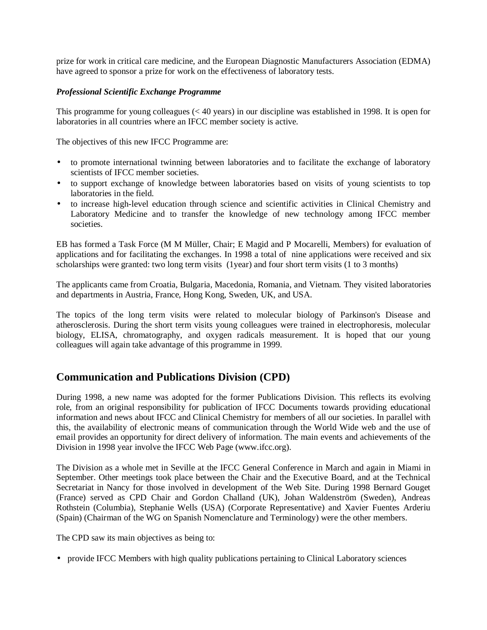prize for work in critical care medicine, and the European Diagnostic Manufacturers Association (EDMA) have agreed to sponsor a prize for work on the effectiveness of laboratory tests.

## *Professional Scientific Exchange Programme*

This programme for young colleagues (< 40 years) in our discipline was established in 1998. It is open for laboratories in all countries where an IFCC member society is active.

The objectives of this new IFCC Programme are:

- to promote international twinning between laboratories and to facilitate the exchange of laboratory scientists of IFCC member societies.
- to support exchange of knowledge between laboratories based on visits of young scientists to top laboratories in the field.
- to increase high-level education through science and scientific activities in Clinical Chemistry and Laboratory Medicine and to transfer the knowledge of new technology among IFCC member societies.

EB has formed a Task Force (M M Müller, Chair; E Magid and P Mocarelli, Members) for evaluation of applications and for facilitating the exchanges. In 1998 a total of nine applications were received and six scholarships were granted: two long term visits (1year) and four short term visits (1 to 3 months)

The applicants came from Croatia, Bulgaria, Macedonia, Romania, and Vietnam. They visited laboratories and departments in Austria, France, Hong Kong, Sweden, UK, and USA.

The topics of the long term visits were related to molecular biology of Parkinson's Disease and atherosclerosis. During the short term visits young colleagues were trained in electrophoresis, molecular biology, ELISA, chromatography, and oxygen radicals measurement. It is hoped that our young colleagues will again take advantage of this programme in 1999.

# **Communication and Publications Division (CPD)**

During 1998, a new name was adopted for the former Publications Division. This reflects its evolving role, from an original responsibility for publication of IFCC Documents towards providing educational information and news about IFCC and Clinical Chemistry for members of all our societies. In parallel with this, the availability of electronic means of communication through the World Wide web and the use of email provides an opportunity for direct delivery of information. The main events and achievements of the Division in 1998 year involve the IFCC Web Page (www.ifcc.org).

The Division as a whole met in Seville at the IFCC General Conference in March and again in Miami in September. Other meetings took place between the Chair and the Executive Board, and at the Technical Secretariat in Nancy for those involved in development of the Web Site. During 1998 Bernard Gouget (France) served as CPD Chair and Gordon Challand (UK), Johan Waldenström (Sweden), Andreas Rothstein (Columbia), Stephanie Wells (USA) (Corporate Representative) and Xavier Fuentes Arderiu (Spain) (Chairman of the WG on Spanish Nomenclature and Terminology) were the other members.

The CPD saw its main objectives as being to:

• provide IFCC Members with high quality publications pertaining to Clinical Laboratory sciences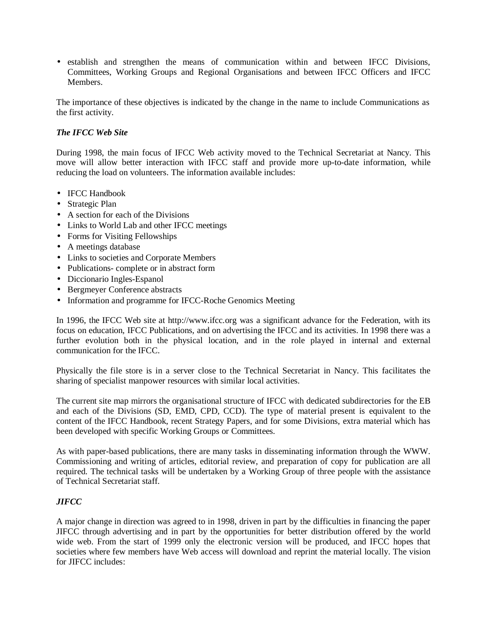• establish and strengthen the means of communication within and between IFCC Divisions, Committees, Working Groups and Regional Organisations and between IFCC Officers and IFCC Members.

The importance of these objectives is indicated by the change in the name to include Communications as the first activity.

## *The IFCC Web Site*

During 1998, the main focus of IFCC Web activity moved to the Technical Secretariat at Nancy. This move will allow better interaction with IFCC staff and provide more up-to-date information, while reducing the load on volunteers. The information available includes:

- IFCC Handbook
- Strategic Plan
- A section for each of the Divisions
- Links to World Lab and other IFCC meetings
- Forms for Visiting Fellowships
- A meetings database
- Links to societies and Corporate Members
- Publications- complete or in abstract form
- Diccionario Ingles-Espanol
- Bergmeyer Conference abstracts
- Information and programme for IFCC-Roche Genomics Meeting

In 1996, the IFCC Web site at http://www.ifcc.org was a significant advance for the Federation, with its focus on education, IFCC Publications, and on advertising the IFCC and its activities. In 1998 there was a further evolution both in the physical location, and in the role played in internal and external communication for the IFCC.

Physically the file store is in a server close to the Technical Secretariat in Nancy. This facilitates the sharing of specialist manpower resources with similar local activities.

The current site map mirrors the organisational structure of IFCC with dedicated subdirectories for the EB and each of the Divisions (SD, EMD, CPD, CCD). The type of material present is equivalent to the content of the IFCC Handbook, recent Strategy Papers, and for some Divisions, extra material which has been developed with specific Working Groups or Committees.

As with paper-based publications, there are many tasks in disseminating information through the WWW. Commissioning and writing of articles, editorial review, and preparation of copy for publication are all required. The technical tasks will be undertaken by a Working Group of three people with the assistance of Technical Secretariat staff.

#### *JIFCC*

A major change in direction was agreed to in 1998, driven in part by the difficulties in financing the paper JIFCC through advertising and in part by the opportunities for better distribution offered by the world wide web. From the start of 1999 only the electronic version will be produced, and IFCC hopes that societies where few members have Web access will download and reprint the material locally. The vision for JIFCC includes: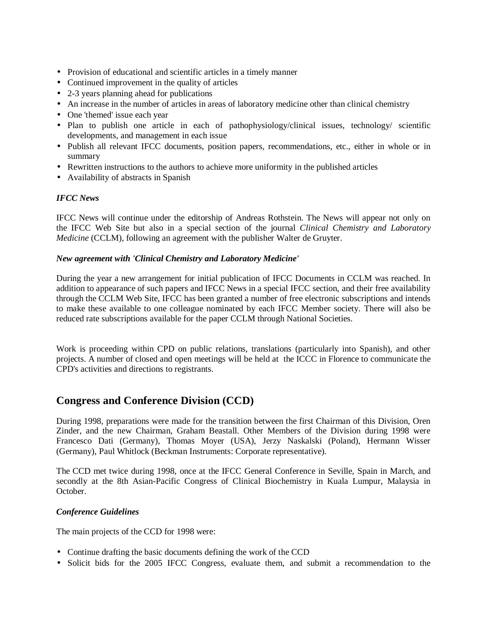- Provision of educational and scientific articles in a timely manner
- Continued improvement in the quality of articles
- 2-3 years planning ahead for publications
- An increase in the number of articles in areas of laboratory medicine other than clinical chemistry
- One 'themed' issue each year
- Plan to publish one article in each of pathophysiology/clinical issues, technology/ scientific developments, and management in each issue
- Publish all relevant IFCC documents, position papers, recommendations, etc., either in whole or in summary
- Rewritten instructions to the authors to achieve more uniformity in the published articles
- Availability of abstracts in Spanish

#### *IFCC News*

IFCC News will continue under the editorship of Andreas Rothstein. The News will appear not only on the IFCC Web Site but also in a special section of the journal *Clinical Chemistry and Laboratory Medicine* (CCLM), following an agreement with the publisher Walter de Gruyter.

#### *New agreement with 'Clinical Chemistry and Laboratory Medicine'*

During the year a new arrangement for initial publication of IFCC Documents in CCLM was reached. In addition to appearance of such papers and IFCC News in a special IFCC section, and their free availability through the CCLM Web Site, IFCC has been granted a number of free electronic subscriptions and intends to make these available to one colleague nominated by each IFCC Member society. There will also be reduced rate subscriptions available for the paper CCLM through National Societies.

Work is proceeding within CPD on public relations, translations (particularly into Spanish), and other projects. A number of closed and open meetings will be held at the ICCC in Florence to communicate the CPD's activities and directions to registrants.

# **Congress and Conference Division (CCD)**

During 1998, preparations were made for the transition between the first Chairman of this Division, Oren Zinder, and the new Chairman, Graham Beastall. Other Members of the Division during 1998 were Francesco Dati (Germany), Thomas Moyer (USA), Jerzy Naskalski (Poland), Hermann Wisser (Germany), Paul Whitlock (Beckman Instruments: Corporate representative).

The CCD met twice during 1998, once at the IFCC General Conference in Seville, Spain in March, and secondly at the 8th Asian-Pacific Congress of Clinical Biochemistry in Kuala Lumpur, Malaysia in October.

## *Conference Guidelines*

The main projects of the CCD for 1998 were:

- Continue drafting the basic documents defining the work of the CCD
- Solicit bids for the 2005 IFCC Congress, evaluate them, and submit a recommendation to the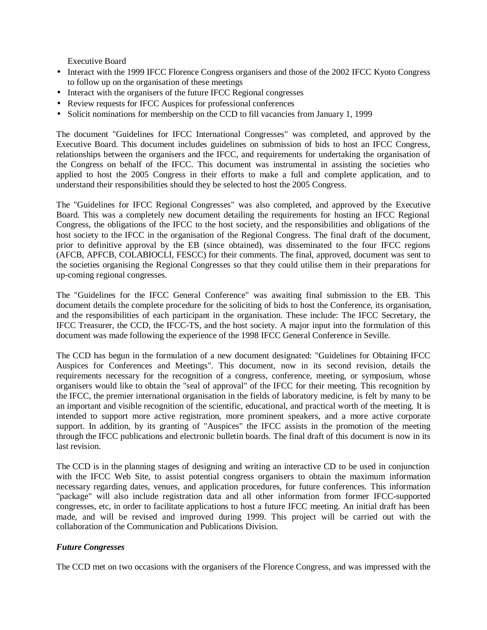Executive Board

- Interact with the 1999 IFCC Florence Congress organisers and those of the 2002 IFCC Kyoto Congress to follow up on the organisation of these meetings
- Interact with the organisers of the future IFCC Regional congresses
- Review requests for IFCC Auspices for professional conferences
- Solicit nominations for membership on the CCD to fill vacancies from January 1, 1999

The document "Guidelines for IFCC International Congresses" was completed, and approved by the Executive Board. This document includes guidelines on submission of bids to host an IFCC Congress, relationships between the organisers and the IFCC, and requirements for undertaking the organisation of the Congress on behalf of the IFCC. This document was instrumental in assisting the societies who applied to host the 2005 Congress in their efforts to make a full and complete application, and to understand their responsibilities should they be selected to host the 2005 Congress.

The "Guidelines for IFCC Regional Congresses" was also completed, and approved by the Executive Board. This was a completely new document detailing the requirements for hosting an IFCC Regional Congress, the obligations of the IFCC to the host society, and the responsibilities and obligations of the host society to the IFCC in the organisation of the Regional Congress. The final draft of the document, prior to definitive approval by the EB (since obtained), was disseminated to the four IFCC regions (AFCB, APFCB, COLABIOCLI, FESCC) for their comments. The final, approved, document was sent to the societies organising the Regional Congresses so that they could utilise them in their preparations for up-coming regional congresses.

The "Guidelines for the IFCC General Conference" was awaiting final submission to the EB. This document details the complete procedure for the soliciting of bids to host the Conference, its organisation, and the responsibilities of each participant in the organisation. These include: The IFCC Secretary, the IFCC Treasurer, the CCD, the IFCC-TS, and the host society. A major input into the formulation of this document was made following the experience of the 1998 IFCC General Conference in Seville.

The CCD has begun in the formulation of a new document designated: "Guidelines for Obtaining IFCC Auspices for Conferences and Meetings". This document, now in its second revision, details the requirements necessary for the recognition of a congress, conference, meeting, or symposium, whose organisers would like to obtain the "seal of approval" of the IFCC for their meeting. This recognition by the IFCC, the premier international organisation in the fields of laboratory medicine, is felt by many to be an important and visible recognition of the scientific, educational, and practical worth of the meeting. It is intended to support more active registration, more prominent speakers, and a more active corporate support. In addition, by its granting of "Auspices" the IFCC assists in the promotion of the meeting through the IFCC publications and electronic bulletin boards. The final draft of this document is now in its last revision.

The CCD is in the planning stages of designing and writing an interactive CD to be used in conjunction with the IFCC Web Site, to assist potential congress organisers to obtain the maximum information necessary regarding dates, venues, and application procedures, for future conferences. This information "package" will also include registration data and all other information from former IFCC-supported congresses, etc, in order to facilitate applications to host a future IFCC meeting. An initial draft has been made, and will be revised and improved during 1999. This project will be carried out with the collaboration of the Communication and Publications Division.

## *Future Congresses*

The CCD met on two occasions with the organisers of the Florence Congress, and was impressed with the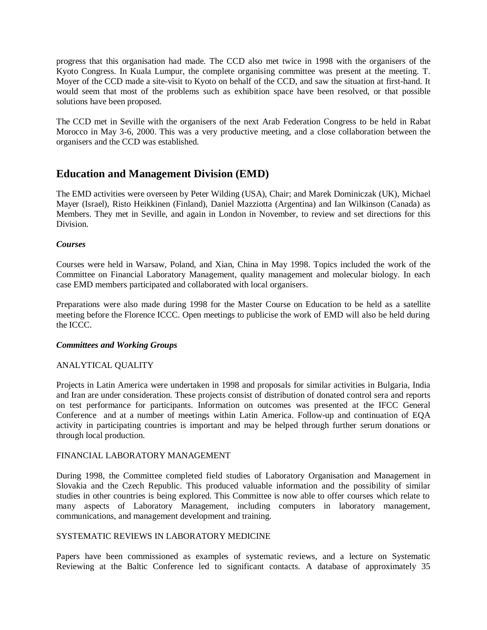progress that this organisation had made. The CCD also met twice in 1998 with the organisers of the Kyoto Congress. In Kuala Lumpur, the complete organising committee was present at the meeting. T. Moyer of the CCD made a site-visit to Kyoto on behalf of the CCD, and saw the situation at first-hand. It would seem that most of the problems such as exhibition space have been resolved, or that possible solutions have been proposed.

The CCD met in Seville with the organisers of the next Arab Federation Congress to be held in Rabat Morocco in May 3-6, 2000. This was a very productive meeting, and a close collaboration between the organisers and the CCD was established.

# **Education and Management Division (EMD)**

The EMD activities were overseen by Peter Wilding (USA), Chair; and Marek Dominiczak (UK), Michael Mayer (Israel), Risto Heikkinen (Finland), Daniel Mazziotta (Argentina) and Ian Wilkinson (Canada) as Members. They met in Seville, and again in London in November, to review and set directions for this Division.

## *Courses*

Courses were held in Warsaw, Poland, and Xian, China in May 1998. Topics included the work of the Committee on Financial Laboratory Management, quality management and molecular biology. In each case EMD members participated and collaborated with local organisers.

Preparations were also made during 1998 for the Master Course on Education to be held as a satellite meeting before the Florence ICCC. Open meetings to publicise the work of EMD will also be held during the ICCC.

#### *Committees and Working Groups*

## ANALYTICAL QUALITY

Projects in Latin America were undertaken in 1998 and proposals for similar activities in Bulgaria, India and Iran are under consideration. These projects consist of distribution of donated control sera and reports on test performance for participants. Information on outcomes was presented at the IFCC General Conference and at a number of meetings within Latin America. Follow-up and continuation of EQA activity in participating countries is important and may be helped through further serum donations or through local production.

#### FINANCIAL LABORATORY MANAGEMENT

During 1998, the Committee completed field studies of Laboratory Organisation and Management in Slovakia and the Czech Republic. This produced valuable information and the possibility of similar studies in other countries is being explored. This Committee is now able to offer courses which relate to many aspects of Laboratory Management, including computers in laboratory management, communications, and management development and training.

#### SYSTEMATIC REVIEWS IN LABORATORY MEDICINE

Papers have been commissioned as examples of systematic reviews, and a lecture on Systematic Reviewing at the Baltic Conference led to significant contacts. A database of approximately 35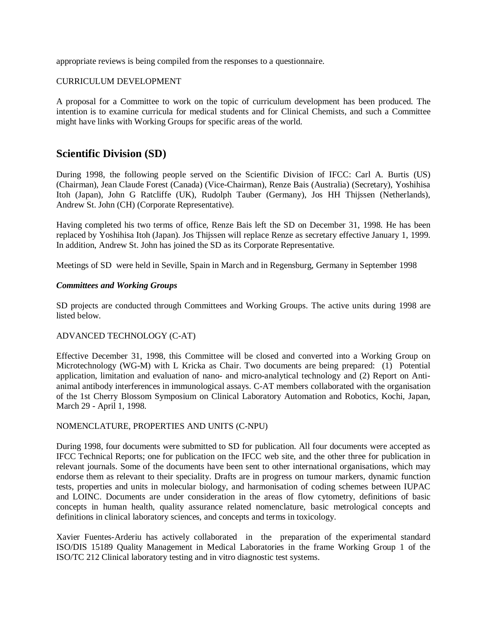appropriate reviews is being compiled from the responses to a questionnaire.

#### CURRICULUM DEVELOPMENT

A proposal for a Committee to work on the topic of curriculum development has been produced. The intention is to examine curricula for medical students and for Clinical Chemists, and such a Committee might have links with Working Groups for specific areas of the world.

# **Scientific Division (SD)**

During 1998, the following people served on the Scientific Division of IFCC: Carl A. Burtis (US) (Chairman), Jean Claude Forest (Canada) (Vice-Chairman), Renze Bais (Australia) (Secretary), Yoshihisa Itoh (Japan), John G Ratcliffe (UK), Rudolph Tauber (Germany), Jos HH Thijssen (Netherlands), Andrew St. John (CH) (Corporate Representative).

Having completed his two terms of office, Renze Bais left the SD on December 31, 1998. He has been replaced by Yoshihisa Itoh (Japan). Jos Thijssen will replace Renze as secretary effective January 1, 1999. In addition, Andrew St. John has joined the SD as its Corporate Representative.

Meetings of SD were held in Seville, Spain in March and in Regensburg, Germany in September 1998

#### *Committees and Working Groups*

SD projects are conducted through Committees and Working Groups. The active units during 1998 are listed below.

#### ADVANCED TECHNOLOGY (C-AT)

Effective December 31, 1998, this Committee will be closed and converted into a Working Group on Microtechnology (WG-M) with L Kricka as Chair. Two documents are being prepared: (1) Potential application, limitation and evaluation of nano- and micro-analytical technology and (2) Report on Antianimal antibody interferences in immunological assays. C-AT members collaborated with the organisation of the 1st Cherry Blossom Symposium on Clinical Laboratory Automation and Robotics, Kochi, Japan, March 29 - April 1, 1998.

#### NOMENCLATURE, PROPERTIES AND UNITS (C-NPU)

During 1998, four documents were submitted to SD for publication. All four documents were accepted as IFCC Technical Reports; one for publication on the IFCC web site, and the other three for publication in relevant journals. Some of the documents have been sent to other international organisations, which may endorse them as relevant to their speciality. Drafts are in progress on tumour markers, dynamic function tests, properties and units in molecular biology, and harmonisation of coding schemes between IUPAC and LOINC. Documents are under consideration in the areas of flow cytometry, definitions of basic concepts in human health, quality assurance related nomenclature, basic metrological concepts and definitions in clinical laboratory sciences, and concepts and terms in toxicology.

Xavier Fuentes-Arderiu has actively collaborated in the preparation of the experimental standard ISO/DIS 15189 Quality Management in Medical Laboratories in the frame Working Group 1 of the ISO/TC 212 Clinical laboratory testing and in vitro diagnostic test systems.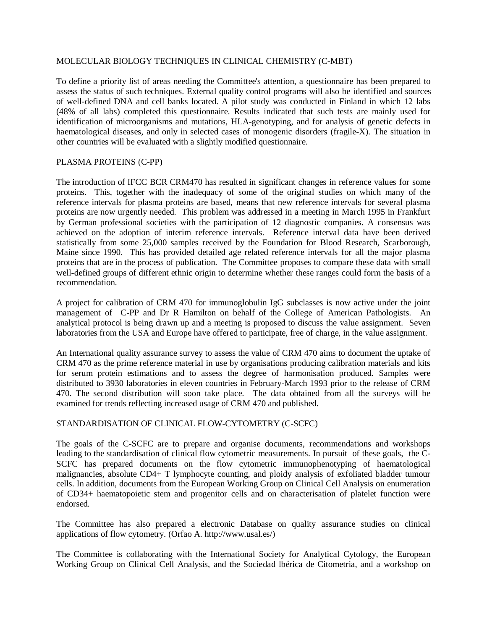#### MOLECULAR BIOLOGY TECHNIQUES IN CLINICAL CHEMISTRY (C-MBT)

To define a priority list of areas needing the Committee's attention, a questionnaire has been prepared to assess the status of such techniques. External quality control programs will also be identified and sources of well-defined DNA and cell banks located. A pilot study was conducted in Finland in which 12 labs (48% of all labs) completed this questionnaire. Results indicated that such tests are mainly used for identification of microorganisms and mutations, HLA-genotyping, and for analysis of genetic defects in haematological diseases, and only in selected cases of monogenic disorders (fragile-X). The situation in other countries will be evaluated with a slightly modified questionnaire.

## PLASMA PROTEINS (C-PP)

The introduction of IFCC BCR CRM470 has resulted in significant changes in reference values for some proteins. This, together with the inadequacy of some of the original studies on which many of the reference intervals for plasma proteins are based, means that new reference intervals for several plasma proteins are now urgently needed. This problem was addressed in a meeting in March 1995 in Frankfurt by German professional societies with the participation of 12 diagnostic companies. A consensus was achieved on the adoption of interim reference intervals. Reference interval data have been derived statistically from some 25,000 samples received by the Foundation for Blood Research, Scarborough, Maine since 1990. This has provided detailed age related reference intervals for all the major plasma proteins that are in the process of publication. The Committee proposes to compare these data with small well-defined groups of different ethnic origin to determine whether these ranges could form the basis of a recommendation.

A project for calibration of CRM 470 for immunoglobulin IgG subclasses is now active under the joint management of C-PP and Dr R Hamilton on behalf of the College of American Pathologists. An analytical protocol is being drawn up and a meeting is proposed to discuss the value assignment. Seven laboratories from the USA and Europe have offered to participate, free of charge, in the value assignment.

An International quality assurance survey to assess the value of CRM 470 aims to document the uptake of CRM 470 as the prime reference material in use by organisations producing calibration materials and kits for serum protein estimations and to assess the degree of harmonisation produced. Samples were distributed to 3930 laboratories in eleven countries in February-March 1993 prior to the release of CRM 470. The second distribution will soon take place. The data obtained from all the surveys will be examined for trends reflecting increased usage of CRM 470 and published.

#### STANDARDISATION OF CLINICAL FLOW-CYTOMETRY (C-SCFC)

The goals of the C-SCFC are to prepare and organise documents, recommendations and workshops leading to the standardisation of clinical flow cytometric measurements. In pursuit of these goals, the C-SCFC has prepared documents on the flow cytometric immunophenotyping of haematological malignancies, absolute CD4+ T lymphocyte counting, and ploidy analysis of exfoliated bladder tumour cells. In addition, documents from the European Working Group on Clinical Cell Analysis on enumeration of CD34+ haematopoietic stem and progenitor cells and on characterisation of platelet function were endorsed.

The Committee has also prepared a electronic Database on quality assurance studies on clinical applications of flow cytometry. (Orfao A. http://www.usal.es/)

The Committee is collaborating with the International Society for Analytical Cytology, the European Working Group on Clinical Cell Analysis, and the Sociedad lbérica de Citometria, and a workshop on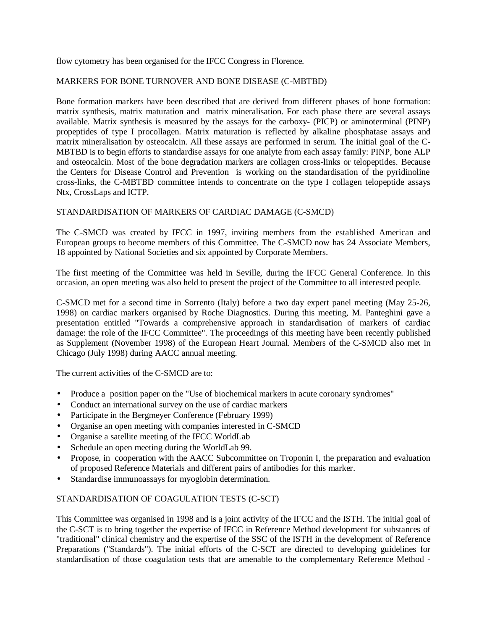flow cytometry has been organised for the IFCC Congress in Florence.

## MARKERS FOR BONE TURNOVER AND BONE DISEASE (C-MBTBD)

Bone formation markers have been described that are derived from different phases of bone formation: matrix synthesis, matrix maturation and matrix mineralisation. For each phase there are several assays available. Matrix synthesis is measured by the assays for the carboxy- (PICP) or aminoterminal (PINP) propeptides of type I procollagen. Matrix maturation is reflected by alkaline phosphatase assays and matrix mineralisation by osteocalcin. All these assays are performed in serum. The initial goal of the C-MBTBD is to begin efforts to standardise assays for one analyte from each assay family: PINP, bone ALP and osteocalcin. Most of the bone degradation markers are collagen cross-links or telopeptides. Because the Centers for Disease Control and Prevention is working on the standardisation of the pyridinoline cross-links, the C-MBTBD committee intends to concentrate on the type I collagen telopeptide assays Ntx, CrossLaps and ICTP.

#### STANDARDISATION OF MARKERS OF CARDIAC DAMAGE (C-SMCD)

The C-SMCD was created by IFCC in 1997, inviting members from the established American and European groups to become members of this Committee. The C-SMCD now has 24 Associate Members, 18 appointed by National Societies and six appointed by Corporate Members.

The first meeting of the Committee was held in Seville, during the IFCC General Conference. In this occasion, an open meeting was also held to present the project of the Committee to all interested people.

C-SMCD met for a second time in Sorrento (Italy) before a two day expert panel meeting (May 25-26, 1998) on cardiac markers organised by Roche Diagnostics. During this meeting, M. Panteghini gave a presentation entitled "Towards a comprehensive approach in standardisation of markers of cardiac damage: the role of the IFCC Committee". The proceedings of this meeting have been recently published as Supplement (November 1998) of the European Heart Journal. Members of the C-SMCD also met in Chicago (July 1998) during AACC annual meeting.

The current activities of the C-SMCD are to:

- Produce a position paper on the "Use of biochemical markers in acute coronary syndromes"
- Conduct an international survey on the use of cardiac markers
- Participate in the Bergmeyer Conference (February 1999)
- Organise an open meeting with companies interested in C-SMCD
- Organise a satellite meeting of the IFCC WorldLab
- Schedule an open meeting during the WorldLab 99.
- Propose, in cooperation with the AACC Subcommittee on Troponin I, the preparation and evaluation of proposed Reference Materials and different pairs of antibodies for this marker.
- Standardise immunoassays for myoglobin determination.

#### STANDARDISATION OF COAGULATION TESTS (C-SCT)

This Committee was organised in 1998 and is a joint activity of the IFCC and the ISTH. The initial goal of the C-SCT is to bring together the expertise of IFCC in Reference Method development for substances of "traditional" clinical chemistry and the expertise of the SSC of the ISTH in the development of Reference Preparations ("Standards"). The initial efforts of the C-SCT are directed to developing guidelines for standardisation of those coagulation tests that are amenable to the complementary Reference Method -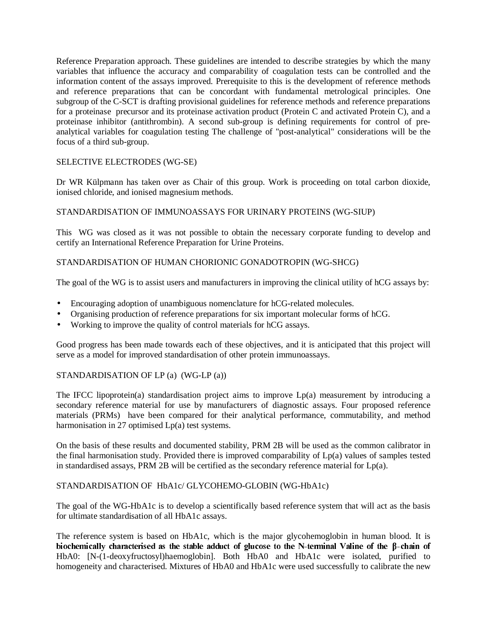Reference Preparation approach. These guidelines are intended to describe strategies by which the many variables that influence the accuracy and comparability of coagulation tests can be controlled and the information content of the assays improved. Prerequisite to this is the development of reference methods and reference preparations that can be concordant with fundamental metrological principles. One subgroup of the C-SCT is drafting provisional guidelines for reference methods and reference preparations for a proteinase precursor and its proteinase activation product (Protein C and activated Protein C), and a proteinase inhibitor (antithrombin). A second sub-group is defining requirements for control of preanalytical variables for coagulation testing The challenge of "post-analytical" considerations will be the focus of a third sub-group.

## SELECTIVE ELECTRODES (WG-SE)

Dr WR Külpmann has taken over as Chair of this group. Work is proceeding on total carbon dioxide, ionised chloride, and ionised magnesium methods.

#### STANDARDISATION OF IMMUNOASSAYS FOR URINARY PROTEINS (WG-SIUP)

This WG was closed as it was not possible to obtain the necessary corporate funding to develop and certify an International Reference Preparation for Urine Proteins.

## STANDARDISATION OF HUMAN CHORIONIC GONADOTROPIN (WG-SHCG)

The goal of the WG is to assist users and manufacturers in improving the clinical utility of hCG assays by:

- Encouraging adoption of unambiguous nomenclature for hCG-related molecules.
- Organising production of reference preparations for six important molecular forms of hCG.
- Working to improve the quality of control materials for hCG assays.

Good progress has been made towards each of these objectives, and it is anticipated that this project will serve as a model for improved standardisation of other protein immunoassays.

#### STANDARDISATION OF LP (a) (WG-LP (a))

The IFCC lipoprotein(a) standardisation project aims to improve Lp(a) measurement by introducing a secondary reference material for use by manufacturers of diagnostic assays. Four proposed reference materials (PRMs) have been compared for their analytical performance, commutability, and method harmonisation in 27 optimised  $Lp(a)$  test systems.

On the basis of these results and documented stability, PRM 2B will be used as the common calibrator in the final harmonisation study. Provided there is improved comparability of Lp(a) values of samples tested in standardised assays, PRM 2B will be certified as the secondary reference material for Lp(a).

#### STANDARDISATION OF HbA1c/ GLYCOHEMO-GLOBIN (WG-HbA1c)

The goal of the WG-HbA1c is to develop a scientifically based reference system that will act as the basis for ultimate standardisation of all HbA1c assays.

The reference system is based on HbA1c, which is the major glycohemoglobin in human blood. It is biochemically characterised as the stable adduct of glucose to the N-terminal Valine of the  $\beta$ -chain of HbA0: [N-(1-deoxyfructosyl)haemoglobin]. Both HbA0 and HbA1c were isolated, purified to homogeneity and characterised. Mixtures of HbA0 and HbA1c were used successfully to calibrate the new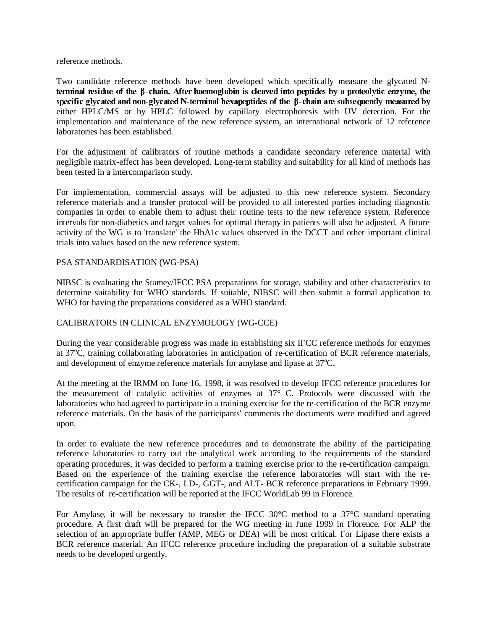reference methods.

Two candidate reference methods have been developed which specifically measure the glycated Nterminal residue of the  $\beta$ -chain. After haemoglobin is cleaved into peptides by a proteolytic enzyme, the specific glycated and non-glycated N-terminal hexapeptides of the  $\beta$ -chain are subsequently measured by either HPLC/MS or by HPLC followed by capillary electrophoresis with UV detection. For the implementation and maintenance of the new reference system, an international network of 12 reference laboratories has been established.

For the adjustment of calibrators of routine methods a candidate secondary reference material with negligible matrix-effect has been developed. Long-term stability and suitability for all kind of methods has been tested in a intercomparison study.

For implementation, commercial assays will be adjusted to this new reference system. Secondary reference materials and a transfer protocol will be provided to all interested parties including diagnostic companies in order to enable them to adjust their routine tests to the new reference system. Reference intervals for non-diabetics and target values for optimal therapy in patients will also be adjusted. A future activity of the WG is to 'translate' the HbA1c values observed in the DCCT and other important clinical trials into values based on the new reference system.

#### PSA STANDARDISATION (WG-PSA)

NIBSC is evaluating the Stamey/IFCC PSA preparations for storage, stability and other characteristics to determine suitability for WHO standards. If suitable, NIBSC will then submit a formal application to WHO for having the preparations considered as a WHO standard.

#### CALIBRATORS IN CLINICAL ENZYMOLOGY (WG-CCE)

During the year considerable progress was made in establishing six IFCC reference methods for enzymes at 37°C, training collaborating laboratories in anticipation of re-certification of BCR reference materials, and development of enzyme reference materials for amylase and lipase at 37°C.

At the meeting at the IRMM on June 16, 1998, it was resolved to develop IFCC reference procedures for the measurement of catalytic activities of enzymes at 37° C. Protocols were discussed with the laboratories who had agreed to participate in a training exercise for the re-certification of the BCR enzyme reference materials. On the basis of the participants' comments the documents were modified and agreed upon.

In order to evaluate the new reference procedures and to demonstrate the ability of the participating reference laboratories to carry out the analytical work according to the requirements of the standard operating procedures, it was decided to perform a training exercise prior to the re-certification campaign. Based on the experience of the training exercise the reference laboratories will start with the recertification campaign for the CK-, LD-, GGT-, and ALT- BCR reference preparations in February 1999. The results of re-certification will be reported at the IFCC WorldLab 99 in Florence.

For Amylase, it will be necessary to transfer the IFCC 30°C method to a 37°C standard operating procedure. A first draft will be prepared for the WG meeting in June 1999 in Florence. For ALP the selection of an appropriate buffer (AMP, MEG or DEA) will be most critical. For Lipase there exists a BCR reference material. An IFCC reference procedure including the preparation of a suitable substrate needs to be developed urgently.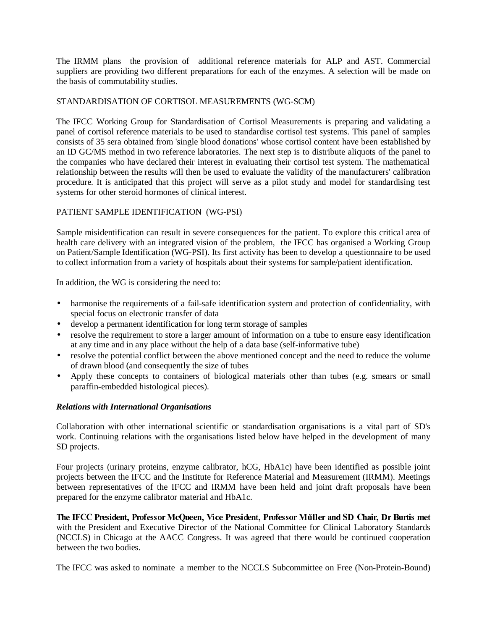The IRMM plans the provision of additional reference materials for ALP and AST. Commercial suppliers are providing two different preparations for each of the enzymes. A selection will be made on the basis of commutability studies.

#### STANDARDISATION OF CORTISOL MEASUREMENTS (WG-SCM)

The IFCC Working Group for Standardisation of Cortisol Measurements is preparing and validating a panel of cortisol reference materials to be used to standardise cortisol test systems. This panel of samples consists of 35 sera obtained from 'single blood donations' whose cortisol content have been established by an ID GC/MS method in two reference laboratories. The next step is to distribute aliquots of the panel to the companies who have declared their interest in evaluating their cortisol test system. The mathematical relationship between the results will then be used to evaluate the validity of the manufacturers' calibration procedure. It is anticipated that this project will serve as a pilot study and model for standardising test systems for other steroid hormones of clinical interest.

## PATIENT SAMPLE IDENTIFICATION (WG-PSI)

Sample misidentification can result in severe consequences for the patient. To explore this critical area of health care delivery with an integrated vision of the problem, the IFCC has organised a Working Group on Patient/Sample Identification (WG-PSI). Its first activity has been to develop a questionnaire to be used to collect information from a variety of hospitals about their systems for sample/patient identification.

In addition, the WG is considering the need to:

- harmonise the requirements of a fail-safe identification system and protection of confidentiality, with special focus on electronic transfer of data
- develop a permanent identification for long term storage of samples
- resolve the requirement to store a larger amount of information on a tube to ensure easy identification at any time and in any place without the help of a data base (self-informative tube)
- resolve the potential conflict between the above mentioned concept and the need to reduce the volume of drawn blood (and consequently the size of tubes
- Apply these concepts to containers of biological materials other than tubes (e.g. smears or small paraffin-embedded histological pieces).

#### *Relations with International Organisations*

Collaboration with other international scientific or standardisation organisations is a vital part of SD's work. Continuing relations with the organisations listed below have helped in the development of many SD projects.

Four projects (urinary proteins, enzyme calibrator, hCG, HbA1c) have been identified as possible joint projects between the IFCC and the Institute for Reference Material and Measurement (IRMM). Meetings between representatives of the IFCC and IRMM have been held and joint draft proposals have been prepared for the enzyme calibrator material and HbA1c.

The IFCC President, Professor McQueen, Vice-President, Professor Müller and SD Chair, Dr Burtis met with the President and Executive Director of the National Committee for Clinical Laboratory Standards (NCCLS) in Chicago at the AACC Congress. It was agreed that there would be continued cooperation between the two bodies.

The IFCC was asked to nominate a member to the NCCLS Subcommittee on Free (Non-Protein-Bound)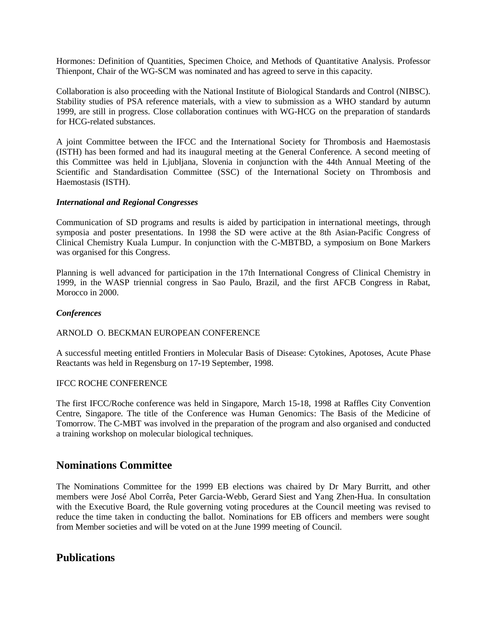Hormones: Definition of Quantities, Specimen Choice, and Methods of Quantitative Analysis. Professor Thienpont, Chair of the WG-SCM was nominated and has agreed to serve in this capacity.

Collaboration is also proceeding with the National Institute of Biological Standards and Control (NIBSC). Stability studies of PSA reference materials, with a view to submission as a WHO standard by autumn 1999, are still in progress. Close collaboration continues with WG-HCG on the preparation of standards for HCG-related substances.

A joint Committee between the IFCC and the International Society for Thrombosis and Haemostasis (ISTH) has been formed and had its inaugural meeting at the General Conference. A second meeting of this Committee was held in Ljubljana, Slovenia in conjunction with the 44th Annual Meeting of the Scientific and Standardisation Committee (SSC) of the International Society on Thrombosis and Haemostasis (ISTH).

#### *International and Regional Congresses*

Communication of SD programs and results is aided by participation in international meetings, through symposia and poster presentations. In 1998 the SD were active at the 8th Asian-Pacific Congress of Clinical Chemistry Kuala Lumpur. In conjunction with the C-MBTBD, a symposium on Bone Markers was organised for this Congress.

Planning is well advanced for participation in the 17th International Congress of Clinical Chemistry in 1999, in the WASP triennial congress in Sao Paulo, Brazil, and the first AFCB Congress in Rabat, Morocco in 2000.

#### *Conferences*

#### ARNOLD O. BECKMAN EUROPEAN CONFERENCE

A successful meeting entitled Frontiers in Molecular Basis of Disease: Cytokines, Apotoses, Acute Phase Reactants was held in Regensburg on 17-19 September, 1998.

#### IFCC ROCHE CONFERENCE

The first IFCC/Roche conference was held in Singapore, March 15-18, 1998 at Raffles City Convention Centre, Singapore. The title of the Conference was Human Genomics: The Basis of the Medicine of Tomorrow. The C-MBT was involved in the preparation of the program and also organised and conducted a training workshop on molecular biological techniques.

# **Nominations Committee**

The Nominations Committee for the 1999 EB elections was chaired by Dr Mary Burritt, and other members were José Abol Corrêa, Peter Garcia-Webb, Gerard Siest and Yang Zhen-Hua. In consultation with the Executive Board, the Rule governing voting procedures at the Council meeting was revised to reduce the time taken in conducting the ballot. Nominations for EB officers and members were sought from Member societies and will be voted on at the June 1999 meeting of Council.

# **Publications**